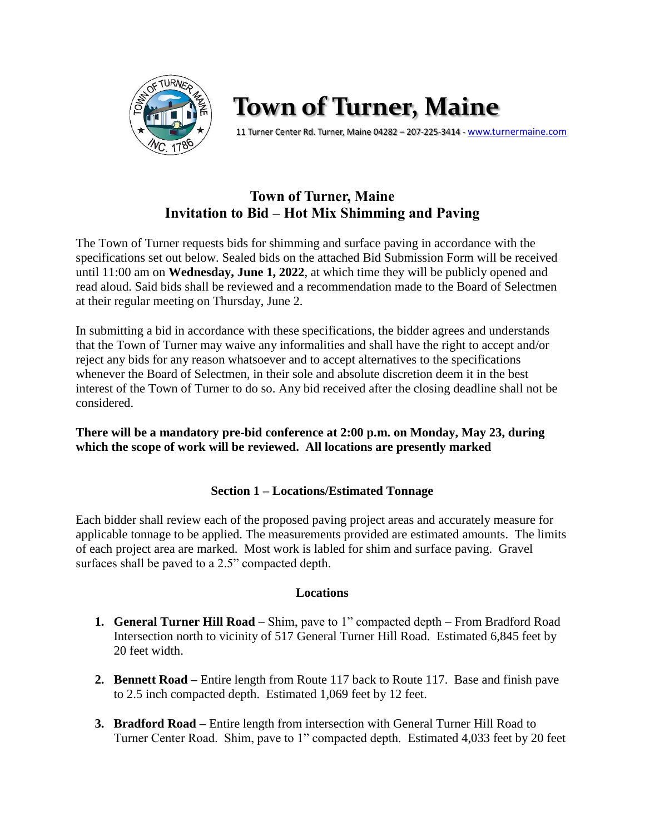

# **Town of Turner, Maine**

11 Turner Center Rd. Turner, Maine 04282 – 207-225-3414 - [www.turnermaine.com](http://www.turnermaine.com/)

## **Town of Turner, Maine Invitation to Bid – Hot Mix Shimming and Paving**

The Town of Turner requests bids for shimming and surface paving in accordance with the specifications set out below. Sealed bids on the attached Bid Submission Form will be received until 11:00 am on **Wednesday, June 1, 2022**, at which time they will be publicly opened and read aloud. Said bids shall be reviewed and a recommendation made to the Board of Selectmen at their regular meeting on Thursday, June 2.

In submitting a bid in accordance with these specifications, the bidder agrees and understands that the Town of Turner may waive any informalities and shall have the right to accept and/or reject any bids for any reason whatsoever and to accept alternatives to the specifications whenever the Board of Selectmen, in their sole and absolute discretion deem it in the best interest of the Town of Turner to do so. Any bid received after the closing deadline shall not be considered.

## **There will be a mandatory pre-bid conference at 2:00 p.m. on Monday, May 23, during which the scope of work will be reviewed. All locations are presently marked**

## **Section 1 – Locations/Estimated Tonnage**

Each bidder shall review each of the proposed paving project areas and accurately measure for applicable tonnage to be applied. The measurements provided are estimated amounts. The limits of each project area are marked. Most work is labled for shim and surface paving. Gravel surfaces shall be paved to a 2.5" compacted depth.

## **Locations**

- **1. General Turner Hill Road** Shim, pave to 1" compacted depth From Bradford Road Intersection north to vicinity of 517 General Turner Hill Road. Estimated 6,845 feet by 20 feet width.
- **2. Bennett Road –** Entire length from Route 117 back to Route 117. Base and finish pave to 2.5 inch compacted depth. Estimated 1,069 feet by 12 feet.
- **3. Bradford Road –** Entire length from intersection with General Turner Hill Road to Turner Center Road. Shim, pave to 1" compacted depth. Estimated 4,033 feet by 20 feet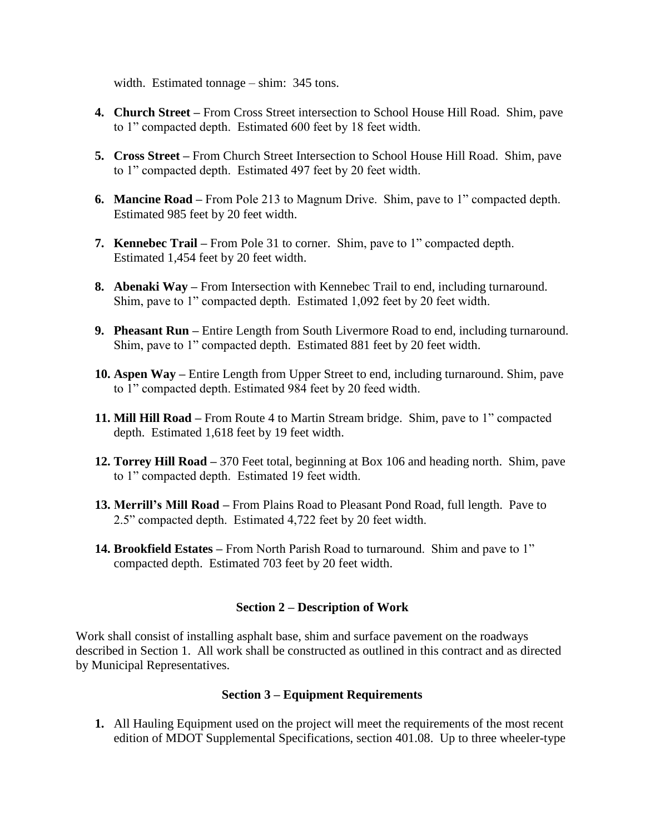width. Estimated tonnage – shim: 345 tons.

- **4. Church Street –** From Cross Street intersection to School House Hill Road. Shim, pave to 1" compacted depth. Estimated 600 feet by 18 feet width.
- **5. Cross Street –** From Church Street Intersection to School House Hill Road. Shim, pave to 1" compacted depth. Estimated 497 feet by 20 feet width.
- **6. Mancine Road –** From Pole 213 to Magnum Drive. Shim, pave to 1" compacted depth. Estimated 985 feet by 20 feet width.
- **7. Kennebec Trail –** From Pole 31 to corner. Shim, pave to 1" compacted depth. Estimated 1,454 feet by 20 feet width.
- **8. Abenaki Way –** From Intersection with Kennebec Trail to end, including turnaround. Shim, pave to 1" compacted depth. Estimated 1,092 feet by 20 feet width.
- **9. Pheasant Run –** Entire Length from South Livermore Road to end, including turnaround. Shim, pave to 1" compacted depth. Estimated 881 feet by 20 feet width.
- **10. Aspen Way –** Entire Length from Upper Street to end, including turnaround. Shim, pave to 1" compacted depth. Estimated 984 feet by 20 feed width.
- **11. Mill Hill Road –** From Route 4 to Martin Stream bridge. Shim, pave to 1" compacted depth. Estimated 1,618 feet by 19 feet width.
- **12. Torrey Hill Road –** 370 Feet total, beginning at Box 106 and heading north. Shim, pave to 1" compacted depth. Estimated 19 feet width.
- **13. Merrill's Mill Road –** From Plains Road to Pleasant Pond Road, full length. Pave to 2.5" compacted depth. Estimated 4,722 feet by 20 feet width.
- **14. Brookfield Estates –** From North Parish Road to turnaround. Shim and pave to 1" compacted depth. Estimated 703 feet by 20 feet width.

#### **Section 2 – Description of Work**

Work shall consist of installing asphalt base, shim and surface pavement on the roadways described in Section 1. All work shall be constructed as outlined in this contract and as directed by Municipal Representatives.

#### **Section 3 – Equipment Requirements**

**1.** All Hauling Equipment used on the project will meet the requirements of the most recent edition of MDOT Supplemental Specifications, section 401.08. Up to three wheeler-type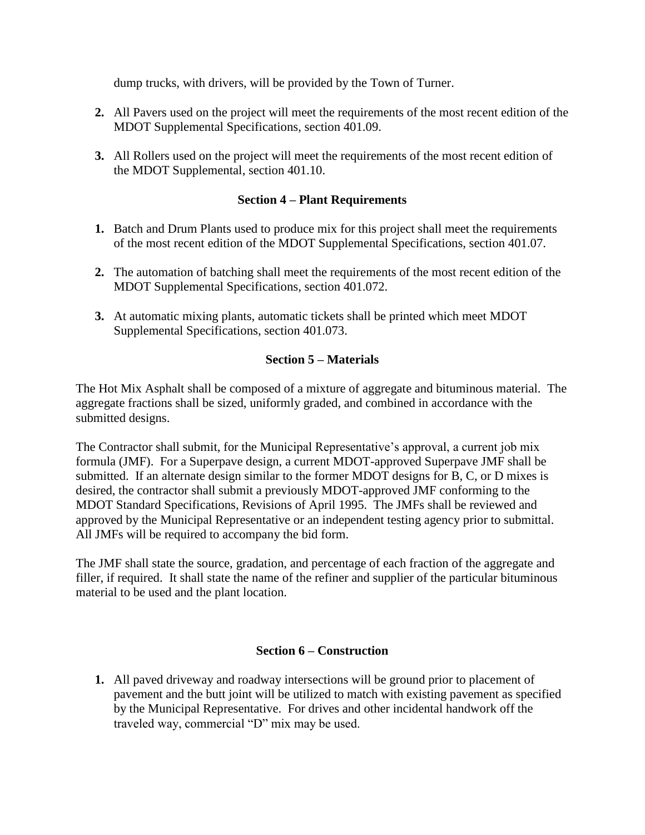dump trucks, with drivers, will be provided by the Town of Turner.

- **2.** All Pavers used on the project will meet the requirements of the most recent edition of the MDOT Supplemental Specifications, section 401.09.
- **3.** All Rollers used on the project will meet the requirements of the most recent edition of the MDOT Supplemental, section 401.10.

## **Section 4 – Plant Requirements**

- **1.** Batch and Drum Plants used to produce mix for this project shall meet the requirements of the most recent edition of the MDOT Supplemental Specifications, section 401.07.
- **2.** The automation of batching shall meet the requirements of the most recent edition of the MDOT Supplemental Specifications, section 401.072.
- **3.** At automatic mixing plants, automatic tickets shall be printed which meet MDOT Supplemental Specifications, section 401.073.

## **Section 5 – Materials**

The Hot Mix Asphalt shall be composed of a mixture of aggregate and bituminous material. The aggregate fractions shall be sized, uniformly graded, and combined in accordance with the submitted designs.

The Contractor shall submit, for the Municipal Representative's approval, a current job mix formula (JMF). For a Superpave design, a current MDOT-approved Superpave JMF shall be submitted. If an alternate design similar to the former MDOT designs for B, C, or D mixes is desired, the contractor shall submit a previously MDOT-approved JMF conforming to the MDOT Standard Specifications, Revisions of April 1995. The JMFs shall be reviewed and approved by the Municipal Representative or an independent testing agency prior to submittal. All JMFs will be required to accompany the bid form.

The JMF shall state the source, gradation, and percentage of each fraction of the aggregate and filler, if required. It shall state the name of the refiner and supplier of the particular bituminous material to be used and the plant location.

#### **Section 6 – Construction**

**1.** All paved driveway and roadway intersections will be ground prior to placement of pavement and the butt joint will be utilized to match with existing pavement as specified by the Municipal Representative. For drives and other incidental handwork off the traveled way, commercial "D" mix may be used.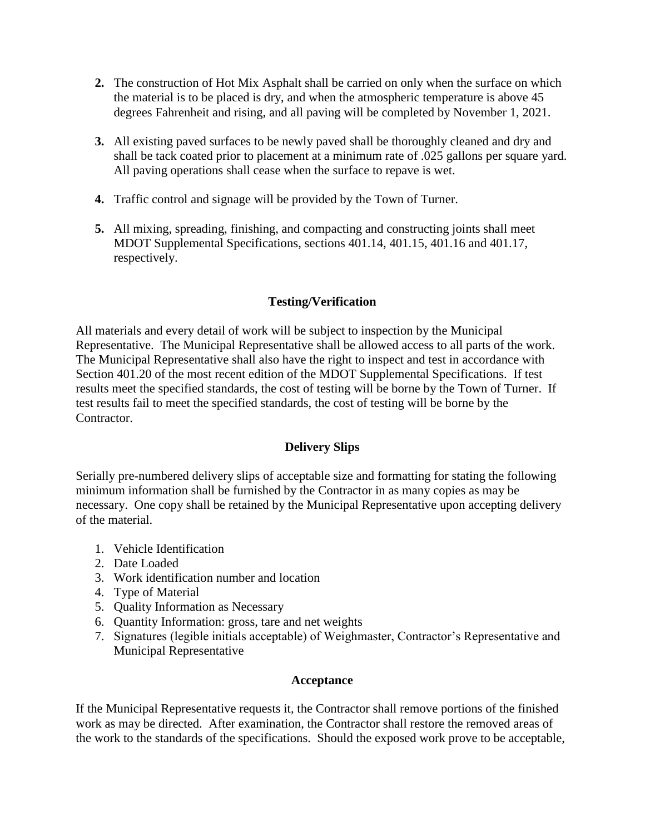- **2.** The construction of Hot Mix Asphalt shall be carried on only when the surface on which the material is to be placed is dry, and when the atmospheric temperature is above 45 degrees Fahrenheit and rising, and all paving will be completed by November 1, 2021.
- **3.** All existing paved surfaces to be newly paved shall be thoroughly cleaned and dry and shall be tack coated prior to placement at a minimum rate of .025 gallons per square yard. All paving operations shall cease when the surface to repave is wet.
- **4.** Traffic control and signage will be provided by the Town of Turner.
- **5.** All mixing, spreading, finishing, and compacting and constructing joints shall meet MDOT Supplemental Specifications, sections 401.14, 401.15, 401.16 and 401.17, respectively.

## **Testing/Verification**

All materials and every detail of work will be subject to inspection by the Municipal Representative. The Municipal Representative shall be allowed access to all parts of the work. The Municipal Representative shall also have the right to inspect and test in accordance with Section 401.20 of the most recent edition of the MDOT Supplemental Specifications. If test results meet the specified standards, the cost of testing will be borne by the Town of Turner. If test results fail to meet the specified standards, the cost of testing will be borne by the Contractor.

## **Delivery Slips**

Serially pre-numbered delivery slips of acceptable size and formatting for stating the following minimum information shall be furnished by the Contractor in as many copies as may be necessary. One copy shall be retained by the Municipal Representative upon accepting delivery of the material.

- 1. Vehicle Identification
- 2. Date Loaded
- 3. Work identification number and location
- 4. Type of Material
- 5. Quality Information as Necessary
- 6. Quantity Information: gross, tare and net weights
- 7. Signatures (legible initials acceptable) of Weighmaster, Contractor's Representative and Municipal Representative

## **Acceptance**

If the Municipal Representative requests it, the Contractor shall remove portions of the finished work as may be directed. After examination, the Contractor shall restore the removed areas of the work to the standards of the specifications. Should the exposed work prove to be acceptable,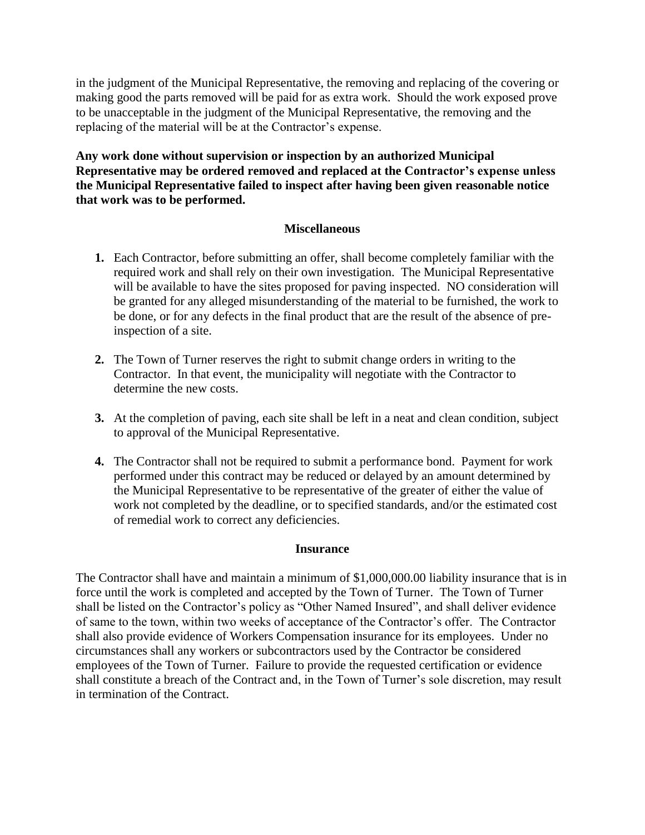in the judgment of the Municipal Representative, the removing and replacing of the covering or making good the parts removed will be paid for as extra work. Should the work exposed prove to be unacceptable in the judgment of the Municipal Representative, the removing and the replacing of the material will be at the Contractor's expense.

**Any work done without supervision or inspection by an authorized Municipal Representative may be ordered removed and replaced at the Contractor's expense unless the Municipal Representative failed to inspect after having been given reasonable notice that work was to be performed.**

## **Miscellaneous**

- **1.** Each Contractor, before submitting an offer, shall become completely familiar with the required work and shall rely on their own investigation. The Municipal Representative will be available to have the sites proposed for paving inspected. NO consideration will be granted for any alleged misunderstanding of the material to be furnished, the work to be done, or for any defects in the final product that are the result of the absence of preinspection of a site.
- **2.** The Town of Turner reserves the right to submit change orders in writing to the Contractor. In that event, the municipality will negotiate with the Contractor to determine the new costs.
- **3.** At the completion of paving, each site shall be left in a neat and clean condition, subject to approval of the Municipal Representative.
- **4.** The Contractor shall not be required to submit a performance bond. Payment for work performed under this contract may be reduced or delayed by an amount determined by the Municipal Representative to be representative of the greater of either the value of work not completed by the deadline, or to specified standards, and/or the estimated cost of remedial work to correct any deficiencies.

#### **Insurance**

The Contractor shall have and maintain a minimum of \$1,000,000.00 liability insurance that is in force until the work is completed and accepted by the Town of Turner. The Town of Turner shall be listed on the Contractor's policy as "Other Named Insured", and shall deliver evidence of same to the town, within two weeks of acceptance of the Contractor's offer. The Contractor shall also provide evidence of Workers Compensation insurance for its employees. Under no circumstances shall any workers or subcontractors used by the Contractor be considered employees of the Town of Turner. Failure to provide the requested certification or evidence shall constitute a breach of the Contract and, in the Town of Turner's sole discretion, may result in termination of the Contract.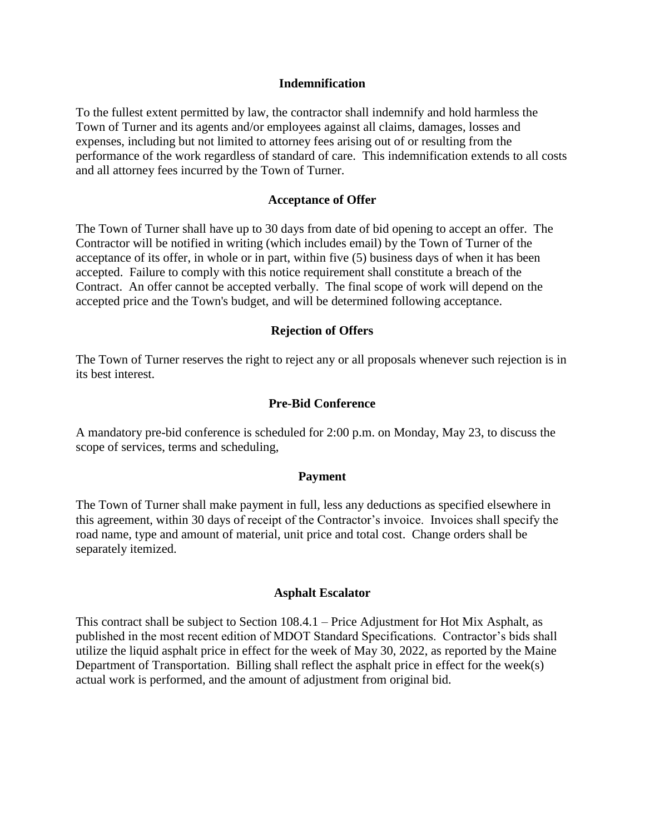#### **Indemnification**

To the fullest extent permitted by law, the contractor shall indemnify and hold harmless the Town of Turner and its agents and/or employees against all claims, damages, losses and expenses, including but not limited to attorney fees arising out of or resulting from the performance of the work regardless of standard of care. This indemnification extends to all costs and all attorney fees incurred by the Town of Turner.

#### **Acceptance of Offer**

The Town of Turner shall have up to 30 days from date of bid opening to accept an offer. The Contractor will be notified in writing (which includes email) by the Town of Turner of the acceptance of its offer, in whole or in part, within five (5) business days of when it has been accepted. Failure to comply with this notice requirement shall constitute a breach of the Contract. An offer cannot be accepted verbally. The final scope of work will depend on the accepted price and the Town's budget, and will be determined following acceptance.

#### **Rejection of Offers**

The Town of Turner reserves the right to reject any or all proposals whenever such rejection is in its best interest.

#### **Pre-Bid Conference**

A mandatory pre-bid conference is scheduled for 2:00 p.m. on Monday, May 23, to discuss the scope of services, terms and scheduling,

#### **Payment**

The Town of Turner shall make payment in full, less any deductions as specified elsewhere in this agreement, within 30 days of receipt of the Contractor's invoice. Invoices shall specify the road name, type and amount of material, unit price and total cost. Change orders shall be separately itemized.

#### **Asphalt Escalator**

This contract shall be subject to Section 108.4.1 – Price Adjustment for Hot Mix Asphalt, as published in the most recent edition of MDOT Standard Specifications. Contractor's bids shall utilize the liquid asphalt price in effect for the week of May 30, 2022, as reported by the Maine Department of Transportation. Billing shall reflect the asphalt price in effect for the week(s) actual work is performed, and the amount of adjustment from original bid.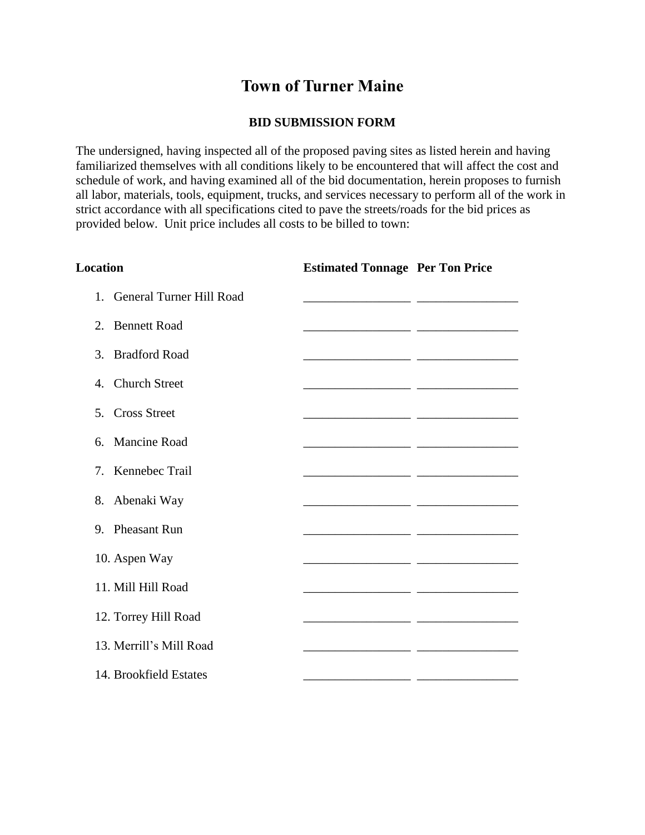# **Town of Turner Maine**

## **BID SUBMISSION FORM**

The undersigned, having inspected all of the proposed paving sites as listed herein and having familiarized themselves with all conditions likely to be encountered that will affect the cost and schedule of work, and having examined all of the bid documentation, herein proposes to furnish all labor, materials, tools, equipment, trucks, and services necessary to perform all of the work in strict accordance with all specifications cited to pave the streets/roads for the bid prices as provided below. Unit price includes all costs to be billed to town:

| <b>Location</b>                          | <b>Estimated Tonnage Per Ton Price</b> |                                                                                                                      |
|------------------------------------------|----------------------------------------|----------------------------------------------------------------------------------------------------------------------|
| 1. General Turner Hill Road              |                                        |                                                                                                                      |
| 2. Bennett Road                          |                                        |                                                                                                                      |
| <b>Bradford Road</b><br>$\mathfrak{Z}$ . |                                        |                                                                                                                      |
| <b>Church Street</b><br>$\mathbf{A}$     |                                        |                                                                                                                      |
| 5. Cross Street                          |                                        | <u> 2000 - Jan James James Jan James James James James James James James James James James James James James Jam</u> |
| Mancine Road<br>6.                       |                                        |                                                                                                                      |
| $7^{\circ}$<br>Kennebec Trail            |                                        |                                                                                                                      |
| Abenaki Way<br>8.                        |                                        |                                                                                                                      |
| 9. Pheasant Run                          |                                        |                                                                                                                      |
| 10. Aspen Way                            |                                        |                                                                                                                      |
| 11. Mill Hill Road                       |                                        |                                                                                                                      |
| 12. Torrey Hill Road                     |                                        |                                                                                                                      |
| 13. Merrill's Mill Road                  |                                        |                                                                                                                      |
| 14. Brookfield Estates                   |                                        |                                                                                                                      |